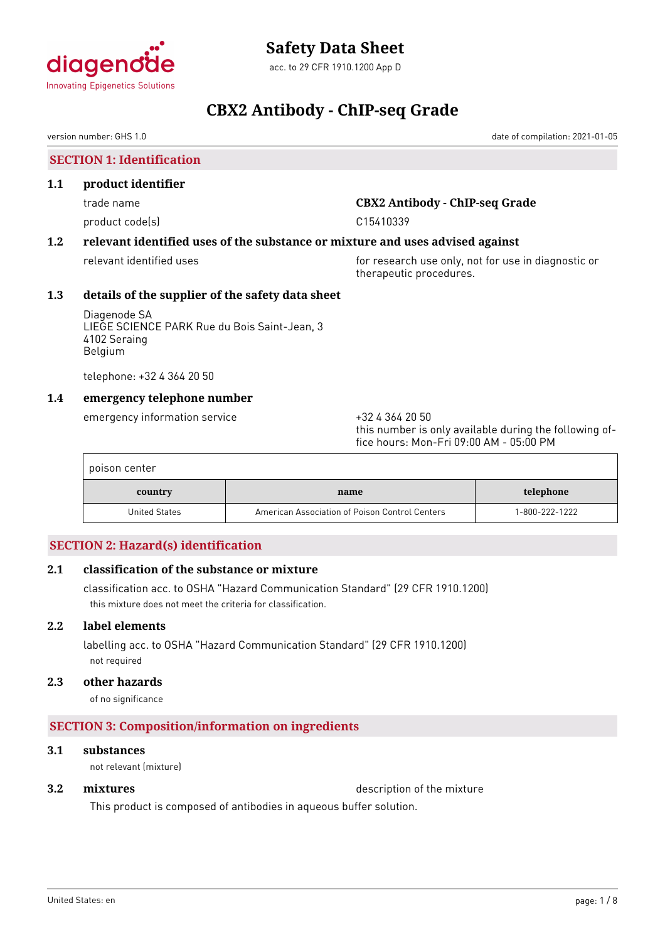

acc. to 29 CFR 1910.1200 App D

# **CBX2 Antibody - ChIP-seq Grade**

version number: GHS 1.0 date of compilation: 2021-01-05

**SECTION 1: Identification**

### **1.1 product identifier**

product code(s) and contact code in the contact code of the contact of the contact code of the contact contact contact contact contact contact contact contact contact contact contact contact contact contact contact contact

# trade name **CBX2 Antibody - ChIP-seq Grade**

# **1.2 relevant identified uses of the substance or mixture and uses advised against**

relevant identified uses **for research use only, not for use in diagnostic or** therapeutic procedures.

# **1.3 details of the supplier of the safety data sheet**

Diagenode SA LIEGE SCIENCE PARK Rue du Bois Saint-Jean, 3 4102 Seraing Belgium

telephone: +32 4 364 20 50

# **1.4 emergency telephone number**

emergency information service  $+3243642050$ 

this number is only available during the following office hours: Mon-Fri 09:00 AM - 05:00 PM

| poison center |                                                |                |
|---------------|------------------------------------------------|----------------|
| country       | name                                           | telephone      |
| United States | American Association of Poison Control Centers | 1-800-222-1222 |

# **SECTION 2: Hazard(s) identification**

# **2.1 classification of the substance or mixture**

classification acc. to OSHA "Hazard Communication Standard" (29 CFR 1910.1200) this mixture does not meet the criteria for classification.

# **2.2 label elements**

labelling acc. to OSHA "Hazard Communication Standard" (29 CFR 1910.1200) not required

# **2.3 other hazards**

of no significance

# **SECTION 3: Composition/information on ingredients**

# **3.1 substances**

not relevant (mixture)

**3.2 mixtures** description of the mixture

This product is composed of antibodies in aqueous buffer solution.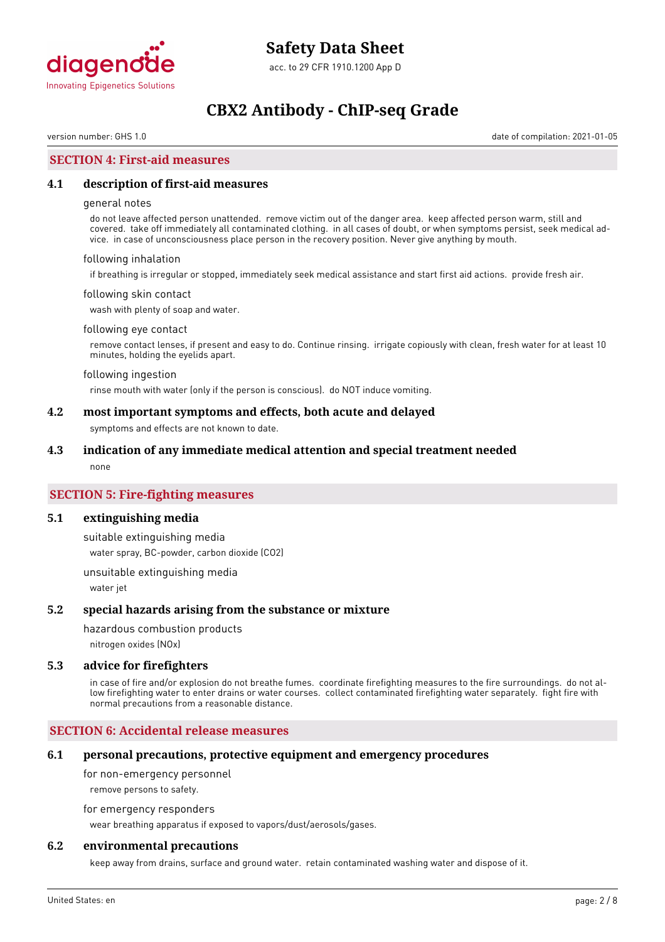

version number: GHS 1.0 date of compilation: 2021-01-05

# **SECTION 4: First-aid measures**

#### **4.1 description of first-aid measures**

#### general notes

do not leave affected person unattended. remove victim out of the danger area. keep affected person warm, still and covered. take off immediately all contaminated clothing. in all cases of doubt, or when symptoms persist, seek medical advice. in case of unconsciousness place person in the recovery position. Never give anything by mouth.

#### following inhalation

if breathing is irregular or stopped, immediately seek medical assistance and start first aid actions. provide fresh air.

#### following skin contact

wash with plenty of soap and water.

#### following eye contact

remove contact lenses, if present and easy to do. Continue rinsing. irrigate copiously with clean, fresh water for at least 10 minutes, holding the eyelids apart.

#### following ingestion

rinse mouth with water (only if the person is conscious). do NOT induce vomiting.

#### **4.2 most important symptoms and effects, both acute and delayed**

symptoms and effects are not known to date.

#### **4.3 indication of any immediate medical attention and special treatment needed**

none

### **SECTION 5: Fire-fighting measures**

#### **5.1 extinguishing media**

suitable extinguishing media water spray, BC-powder, carbon dioxide (CO2)

unsuitable extinguishing media water jet

#### **5.2 special hazards arising from the substance or mixture**

hazardous combustion products

nitrogen oxides (NOx)

#### **5.3 advice for firefighters**

in case of fire and/or explosion do not breathe fumes. coordinate firefighting measures to the fire surroundings. do not allow firefighting water to enter drains or water courses. collect contaminated firefighting water separately. fight fire with normal precautions from a reasonable distance.

#### **SECTION 6: Accidental release measures**

#### **6.1 personal precautions, protective equipment and emergency procedures**

for non-emergency personnel

remove persons to safety.

for emergency responders

wear breathing apparatus if exposed to vapors/dust/aerosols/gases.

### **6.2 environmental precautions**

keep away from drains, surface and ground water. retain contaminated washing water and dispose of it.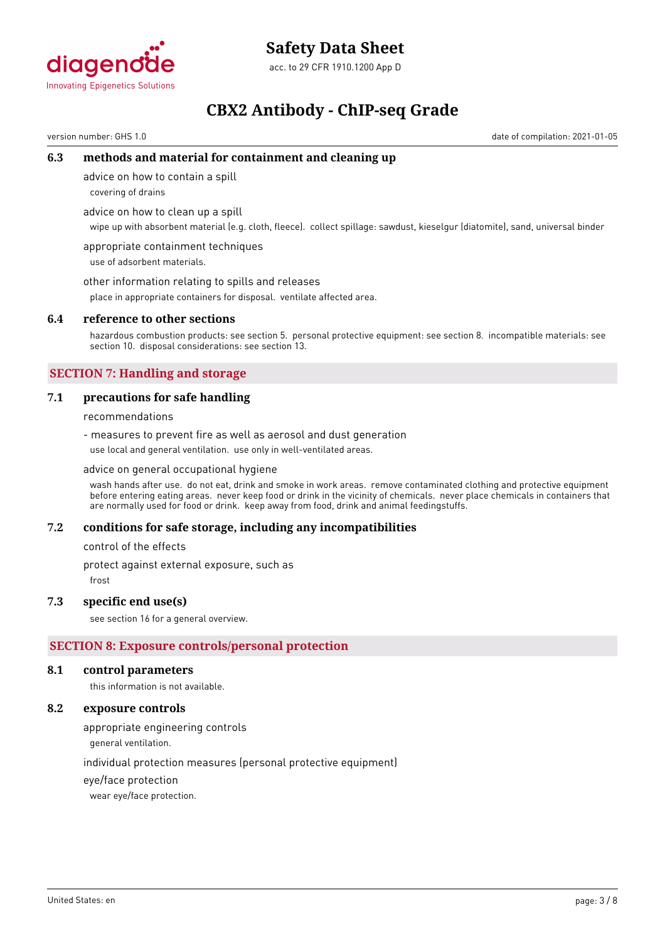

# **Safety Data Sheet**

acc. to 29 CFR 1910.1200 App D

# **CBX2 Antibody - ChIP-seq Grade**

version number: GHS 1.0 date of compilation: 2021-01-05

### **6.3 methods and material for containment and cleaning up**

advice on how to contain a spill

covering of drains

advice on how to clean up a spill

wipe up with absorbent material (e.g. cloth, fleece). collect spillage: sawdust, kieselgur (diatomite), sand, universal binder

appropriate containment techniques use of adsorbent materials.

other information relating to spills and releases

place in appropriate containers for disposal. ventilate affected area.

#### **6.4 reference to other sections**

hazardous combustion products: see section 5. personal protective equipment: see section 8. incompatible materials: see section 10. disposal considerations: see section 13.

# **SECTION 7: Handling and storage**

### **7.1 precautions for safe handling**

recommendations

- measures to prevent fire as well as aerosol and dust generation use local and general ventilation. use only in well-ventilated areas.

advice on general occupational hygiene

wash hands after use. do not eat, drink and smoke in work areas. remove contaminated clothing and protective equipment before entering eating areas. never keep food or drink in the vicinity of chemicals. never place chemicals in containers that are normally used for food or drink. keep away from food, drink and animal feedingstuffs.

#### **7.2 conditions for safe storage, including any incompatibilities**

control of the effects

protect against external exposure, such as

frost

#### **7.3 specific end use(s)**

see section 16 for a general overview.

# **SECTION 8: Exposure controls/personal protection**

#### **8.1 control parameters**

this information is not available.

### **8.2 exposure controls**

appropriate engineering controls

general ventilation.

individual protection measures (personal protective equipment)

eye/face protection

wear eye/face protection.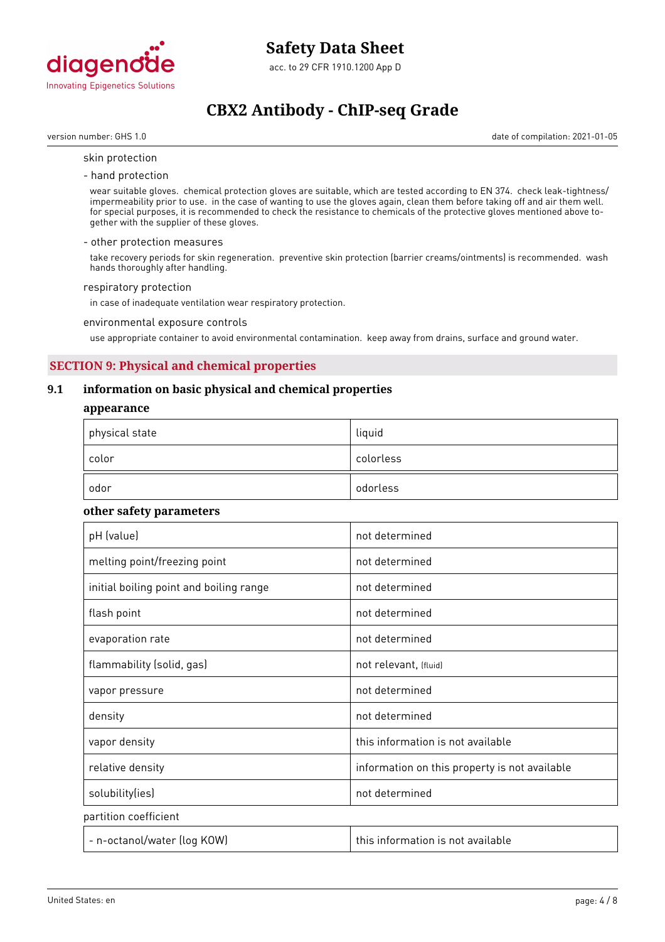

version number: GHS 1.0 date of compilation: 2021-01-05

#### skin protection

- hand protection

wear suitable gloves. chemical protection gloves are suitable, which are tested according to EN 374. check leak-tightness/ impermeability prior to use. in the case of wanting to use the gloves again, clean them before taking off and air them well. for special purposes, it is recommended to check the resistance to chemicals of the protective gloves mentioned above together with the supplier of these gloves.

#### - other protection measures

take recovery periods for skin regeneration. preventive skin protection (barrier creams/ointments) is recommended. wash hands thoroughly after handling.

#### respiratory protection

in case of inadequate ventilation wear respiratory protection.

#### environmental exposure controls

use appropriate container to avoid environmental contamination. keep away from drains, surface and ground water.

# **SECTION 9: Physical and chemical properties**

### **9.1 information on basic physical and chemical properties**

#### **appearance**

| physical state | liquid    |
|----------------|-----------|
| color          | colorless |
| odor           | odorless  |

#### **other safety parameters**

| pH (value)                              | not determined                                |
|-----------------------------------------|-----------------------------------------------|
| melting point/freezing point            | not determined                                |
| initial boiling point and boiling range | not determined                                |
| flash point                             | not determined                                |
| evaporation rate                        | not determined                                |
| flammability (solid, gas)               | not relevant, (fluid)                         |
| vapor pressure                          | not determined                                |
| density                                 | not determined                                |
| vapor density                           | this information is not available             |
| relative density                        | information on this property is not available |
| solubility(ies)                         | not determined                                |
| partition coefficient                   |                                               |
| - n-octanol/water (log KOW)             | this information is not available             |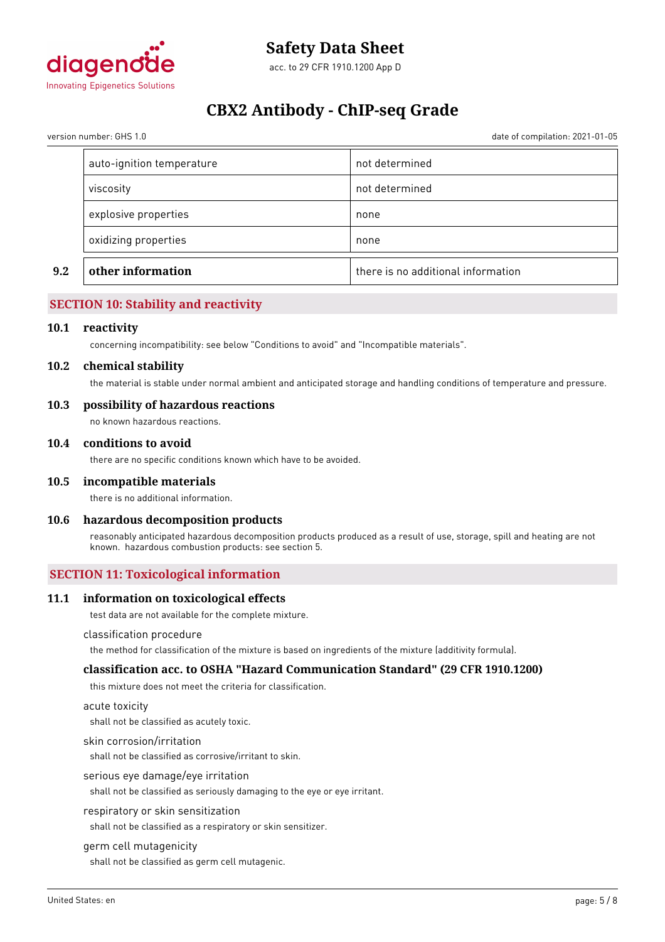

version number: GHS 1.0 date of compilation: 2021-01-05

| 9.2 | other information         | there is no additional information |
|-----|---------------------------|------------------------------------|
|     | oxidizing properties      | none                               |
|     | explosive properties      | none                               |
|     | viscosity                 | not determined                     |
|     | auto-ignition temperature | not determined                     |

# **SECTION 10: Stability and reactivity**

#### **10.1 reactivity**

concerning incompatibility: see below "Conditions to avoid" and "Incompatible materials".

#### **10.2 chemical stability**

the material is stable under normal ambient and anticipated storage and handling conditions of temperature and pressure.

#### **10.3 possibility of hazardous reactions**

no known hazardous reactions.

#### **10.4 conditions to avoid**

there are no specific conditions known which have to be avoided.

#### **10.5 incompatible materials**

there is no additional information.

#### **10.6 hazardous decomposition products**

reasonably anticipated hazardous decomposition products produced as a result of use, storage, spill and heating are not known. hazardous combustion products: see section 5.

#### **SECTION 11: Toxicological information**

#### **11.1 information on toxicological effects**

test data are not available for the complete mixture.

#### classification procedure

the method for classification of the mixture is based on ingredients of the mixture (additivity formula).

#### **classification acc. to OSHA "Hazard Communication Standard" (29 CFR 1910.1200)**

this mixture does not meet the criteria for classification.

#### acute toxicity

shall not be classified as acutely toxic.

#### skin corrosion/irritation

shall not be classified as corrosive/irritant to skin.

#### serious eye damage/eye irritation

shall not be classified as seriously damaging to the eye or eye irritant.

#### respiratory or skin sensitization

shall not be classified as a respiratory or skin sensitizer.

#### germ cell mutagenicity

shall not be classified as germ cell mutagenic.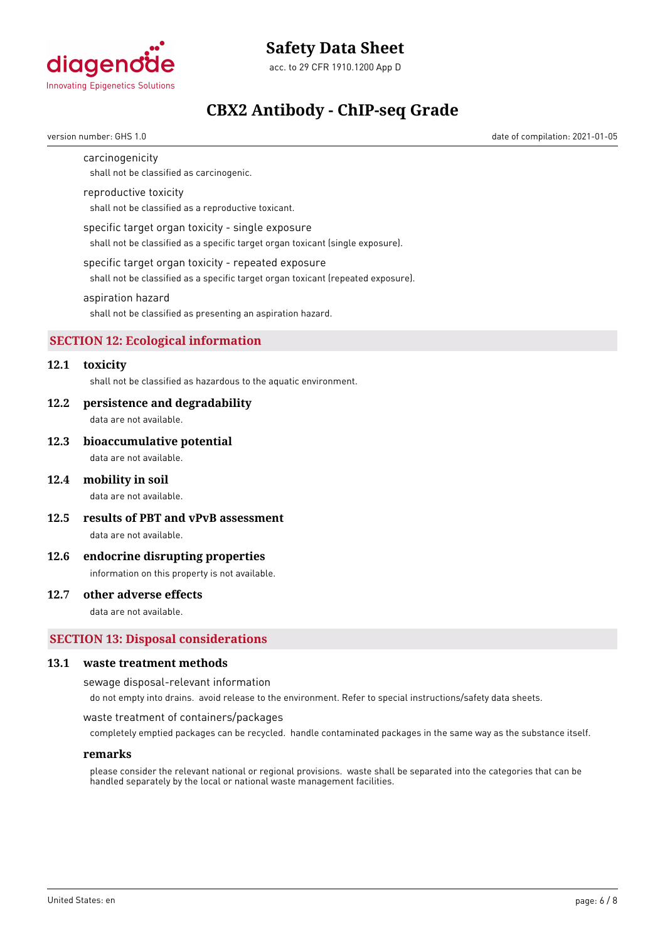

# **Safety Data Sheet**

acc. to 29 CFR 1910.1200 App D

# **CBX2 Antibody - ChIP-seq Grade**

version number: GHS 1.0 date of compilation: 2021-01-05

carcinogenicity

shall not be classified as carcinogenic.

#### reproductive toxicity

shall not be classified as a reproductive toxicant.

#### specific target organ toxicity - single exposure

shall not be classified as a specific target organ toxicant (single exposure).

#### specific target organ toxicity - repeated exposure

shall not be classified as a specific target organ toxicant (repeated exposure).

#### aspiration hazard

shall not be classified as presenting an aspiration hazard.

# **SECTION 12: Ecological information**

# **12.1 toxicity**

shall not be classified as hazardous to the aquatic environment.

#### **12.2 persistence and degradability**

data are not available.

#### **12.3 bioaccumulative potential**

data are not available.

#### **12.4 mobility in soil**

data are not available.

**12.5 results of PBT and vPvB assessment**

data are not available.

#### **12.6 endocrine disrupting properties**

information on this property is not available.

#### **12.7 other adverse effects**

data are not available.

#### **SECTION 13: Disposal considerations**

#### **13.1 waste treatment methods**

sewage disposal-relevant information

do not empty into drains. avoid release to the environment. Refer to special instructions/safety data sheets.

#### waste treatment of containers/packages

completely emptied packages can be recycled. handle contaminated packages in the same way as the substance itself.

#### **remarks**

please consider the relevant national or regional provisions. waste shall be separated into the categories that can be handled separately by the local or national waste management facilities.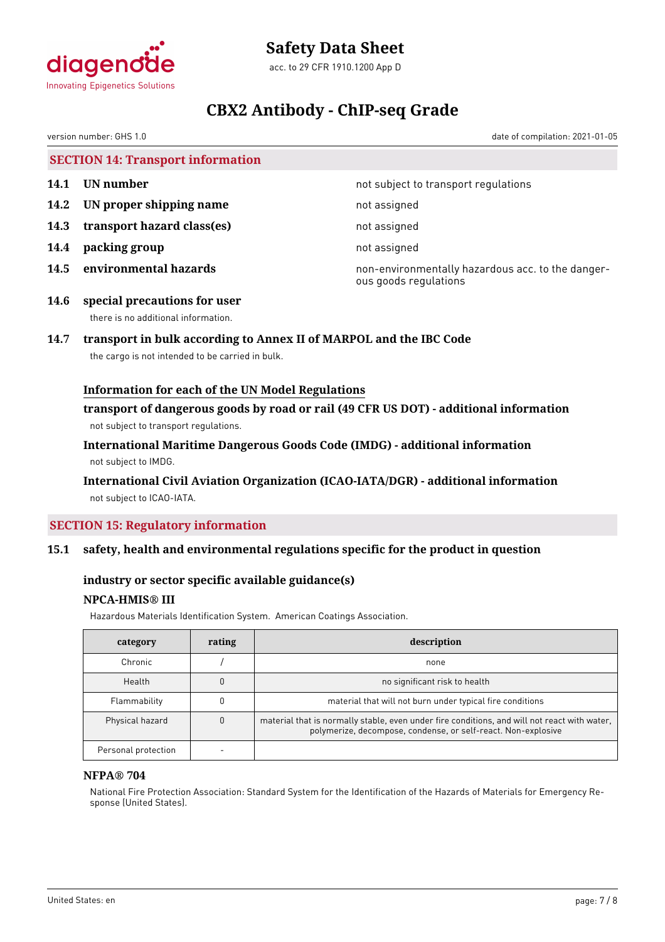

# **Safety Data Sheet**

acc. to 29 CFR 1910.1200 App D

# **CBX2 Antibody - ChIP-seq Grade**

version number: GHS 1.0 date of compilation: 2021-01-05

| <b>SECTION 14: Transport information</b> |                              |                                      |
|------------------------------------------|------------------------------|--------------------------------------|
| 14.1                                     | UN number                    | not subject to transport regulations |
|                                          | 14.2 UN proper shipping name | not assigned                         |
| 14.3                                     | transport hazard class(es)   | not assigned                         |
|                                          |                              |                                      |

- **14.4 packing group** not assigned
- 

**14.5 environmental hazards non-environmentally hazardous acc. to the danger**ous goods regulations

**14.6 special precautions for user** there is no additional information.

# **14.7 transport in bulk according to Annex II of MARPOL and the IBC Code**

the cargo is not intended to be carried in bulk.

# **Information for each of the UN Model Regulations**

**transport of dangerous goods by road or rail (49 CFR US DOT) - additional information** not subject to transport regulations.

**International Maritime Dangerous Goods Code (IMDG) - additional information** not subject to IMDG.

# **International Civil Aviation Organization (ICAO-IATA/DGR) - additional information** not subject to ICAO-IATA.

# **SECTION 15: Regulatory information**

# **15.1 safety, health and environmental regulations specific for the product in question**

# **industry or sector specific available guidance(s)**

# **NPCA-HMIS® III**

Hazardous Materials Identification System. American Coatings Association.

| category            | rating | description                                                                                                                                                   |
|---------------------|--------|---------------------------------------------------------------------------------------------------------------------------------------------------------------|
| Chronic             |        | none                                                                                                                                                          |
| Health              |        | no significant risk to health                                                                                                                                 |
| Flammability        |        | material that will not burn under typical fire conditions                                                                                                     |
| Physical hazard     |        | material that is normally stable, even under fire conditions, and will not react with water,<br>polymerize, decompose, condense, or self-react. Non-explosive |
| Personal protection |        |                                                                                                                                                               |

#### **NFPA® 704**

National Fire Protection Association: Standard System for the Identification of the Hazards of Materials for Emergency Response (United States).